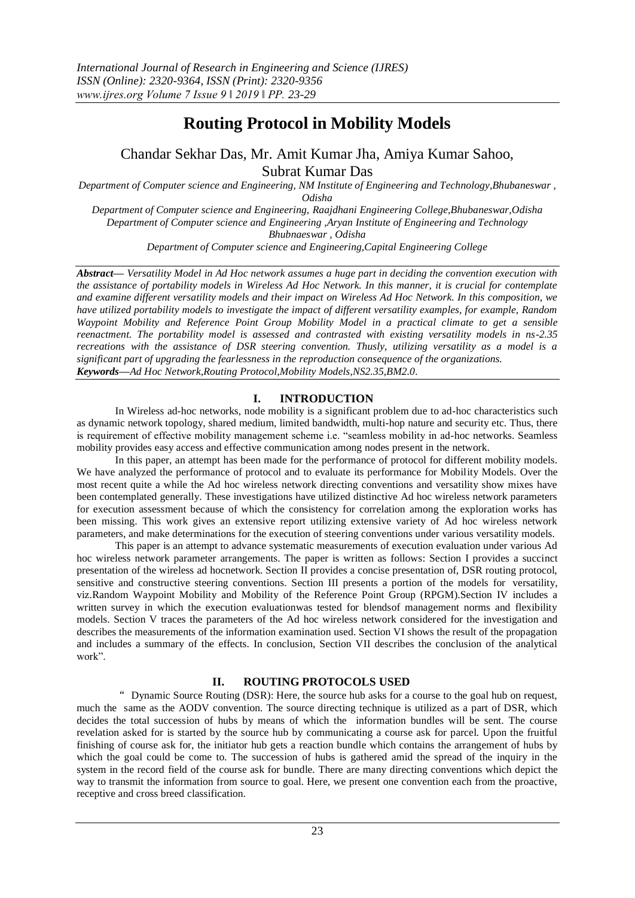# **Routing Protocol in Mobility Models**

Chandar Sekhar Das, Mr. Amit Kumar Jha, Amiya Kumar Sahoo, Subrat Kumar Das

*Department of Computer science and Engineering, NM Institute of Engineering and Technology,Bhubaneswar , Odisha*

*Department of Computer science and Engineering, Raajdhani Engineering College,Bhubaneswar,Odisha Department of Computer science and Engineering ,Aryan Institute of Engineering and Technology Bhubnaeswar , Odisha*

*Department of Computer science and Engineering,Capital Engineering College*

*Abstract— Versatility Model in Ad Hoc network assumes a huge part in deciding the convention execution with the assistance of portability models in Wireless Ad Hoc Network. In this manner, it is crucial for contemplate and examine different versatility models and their impact on Wireless Ad Hoc Network. In this composition, we have utilized portability models to investigate the impact of different versatility examples, for example, Random Waypoint Mobility and Reference Point Group Mobility Model in a practical climate to get a sensible reenactment. The portability model is assessed and contrasted with existing versatility models in ns-2.35 recreations with the assistance of DSR steering convention. Thusly, utilizing versatility as a model is a significant part of upgrading the fearlessness in the reproduction consequence of the organizations. Keywords—Ad Hoc Network,Routing Protocol,Mobility Models,NS2.35,BM2.0.*

# **I. INTRODUCTION**

In Wireless ad-hoc networks, node mobility is a significant problem due to ad-hoc characteristics such as dynamic network topology, shared medium, limited bandwidth, multi-hop nature and security etc. Thus, there is requirement of effective mobility management scheme i.e. "seamless mobility in ad-hoc networks. Seamless mobility provides easy access and effective communication among nodes present in the network.

In this paper, an attempt has been made for the performance of protocol for different mobility models. We have analyzed the performance of protocol and to evaluate its performance for Mobility Models. Over the most recent quite a while the Ad hoc wireless network directing conventions and versatility show mixes have been contemplated generally. These investigations have utilized distinctive Ad hoc wireless network parameters for execution assessment because of which the consistency for correlation among the exploration works has been missing. This work gives an extensive report utilizing extensive variety of Ad hoc wireless network parameters, and make determinations for the execution of steering conventions under various versatility models.

This paper is an attempt to advance systematic measurements of execution evaluation under various Ad hoc wireless network parameter arrangements. The paper is written as follows: Section I provides a succinct presentation of the wireless ad hocnetwork. Section II provides a concise presentation of, DSR routing protocol, sensitive and constructive steering conventions. Section III presents a portion of the models for versatility, viz.Random Waypoint Mobility and Mobility of the Reference Point Group (RPGM).Section IV includes a written survey in which the execution evaluationwas tested for blendsof management norms and flexibility models. Section V traces the parameters of the Ad hoc wireless network considered for the investigation and describes the measurements of the information examination used. Section VI shows the result of the propagation and includes a summary of the effects. In conclusion, Section VII describes the conclusion of the analytical work".

# **II. ROUTING PROTOCOLS USED**

" Dynamic Source Routing (DSR): Here, the source hub asks for a course to the goal hub on request, much the same as the AODV convention. The source directing technique is utilized as a part of DSR, which decides the total succession of hubs by means of which the information bundles will be sent. The course revelation asked for is started by the source hub by communicating a course ask for parcel. Upon the fruitful finishing of course ask for, the initiator hub gets a reaction bundle which contains the arrangement of hubs by which the goal could be come to. The succession of hubs is gathered amid the spread of the inquiry in the system in the record field of the course ask for bundle. There are many directing conventions which depict the way to transmit the information from source to goal. Here, we present one convention each from the proactive, receptive and cross breed classification.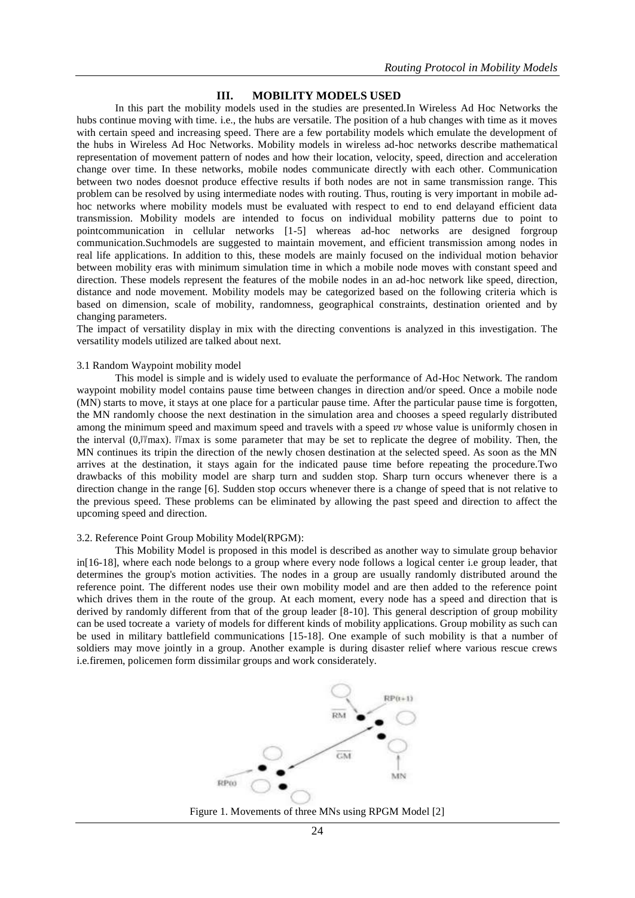## **III. MOBILITY MODELS USED**

In this part the mobility models used in the studies are presented.In Wireless Ad Hoc Networks the hubs continue moving with time. i.e., the hubs are versatile. The position of a hub changes with time as it moves with certain speed and increasing speed. There are a few portability models which emulate the development of the hubs in Wireless Ad Hoc Networks. Mobility models in wireless ad-hoc networks describe mathematical representation of movement pattern of nodes and how their location, velocity, speed, direction and acceleration change over time. In these networks, mobile nodes communicate directly with each other. Communication between two nodes doesnot produce effective results if both nodes are not in same transmission range. This problem can be resolved by using intermediate nodes with routing. Thus, routing is very important in mobile adhoc networks where mobility models must be evaluated with respect to end to end delayand efficient data transmission. Mobility models are intended to focus on individual mobility patterns due to point to pointcommunication in cellular networks [1-5] whereas ad-hoc networks are designed forgroup communication.Suchmodels are suggested to maintain movement, and efficient transmission among nodes in real life applications. In addition to this, these models are mainly focused on the individual motion behavior between mobility eras with minimum simulation time in which a mobile node moves with constant speed and direction. These models represent the features of the mobile nodes in an ad-hoc network like speed, direction, distance and node movement. Mobility models may be categorized based on the following criteria which is based on dimension, scale of mobility, randomness, geographical constraints, destination oriented and by changing parameters.

The impact of versatility display in mix with the directing conventions is analyzed in this investigation. The versatility models utilized are talked about next.

#### 3.1 Random Waypoint mobility model

This model is simple and is widely used to evaluate the performance of Ad-Hoc Network. The random waypoint mobility model contains pause time between changes in direction and/or speed. Once a mobile node (MN) starts to move, it stays at one place for a particular pause time. After the particular pause time is forgotten, the MN randomly choose the next destination in the simulation area and chooses a speed regularly distributed among the minimum speed and maximum speed and travels with a speed  $vv$  whose value is uniformly chosen in the interval  $(0, W_{\text{max}})$ . Wmax is some parameter that may be set to replicate the degree of mobility. Then, the MN continues its tripin the direction of the newly chosen destination at the selected speed. As soon as the MN arrives at the destination, it stays again for the indicated pause time before repeating the procedure.Two drawbacks of this mobility model are sharp turn and sudden stop. Sharp turn occurs whenever there is a direction change in the range [6]. Sudden stop occurs whenever there is a change of speed that is not relative to the previous speed. These problems can be eliminated by allowing the past speed and direction to affect the upcoming speed and direction.

#### 3.2. Reference Point Group Mobility Model(RPGM):

This Mobility Model is proposed in this model is described as another way to simulate group behavior in[16-18], where each node belongs to a group where every node follows a logical center i.e group leader, that determines the group's motion activities. The nodes in a group are usually randomly distributed around the reference point. The different nodes use their own mobility model and are then added to the reference point which drives them in the route of the group. At each moment, every node has a speed and direction that is derived by randomly different from that of the group leader [8-10]. This general description of group mobility can be used tocreate a variety of models for different kinds of mobility applications. Group mobility as such can be used in military battlefield communications [15-18]. One example of such mobility is that a number of soldiers may move jointly in a group. Another example is during disaster relief where various rescue crews i.e.firemen, policemen form dissimilar groups and work considerately.



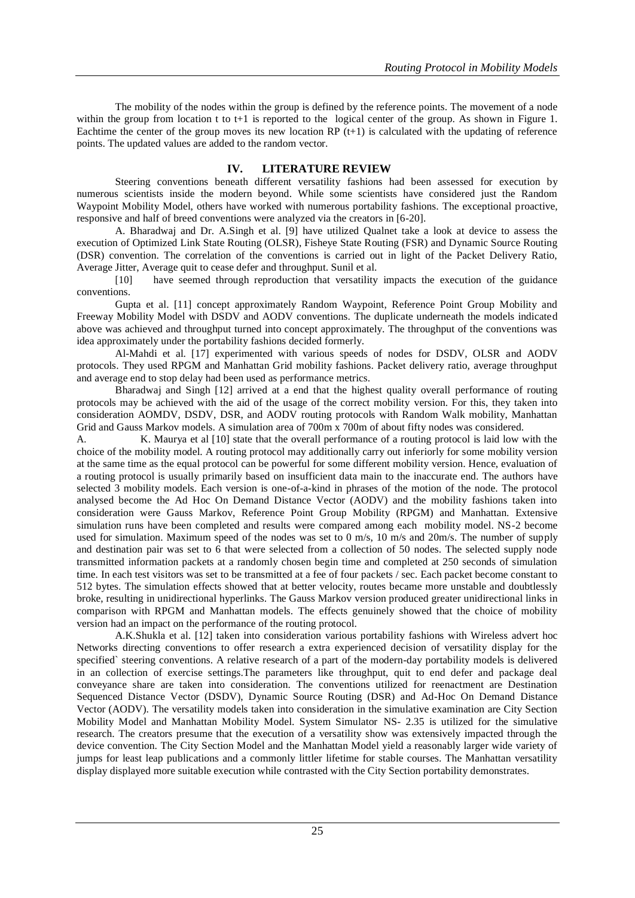The mobility of the nodes within the group is defined by the reference points. The movement of a node within the group from location t to t+1 is reported to the logical center of the group. As shown in Figure 1. Eachtime the center of the group moves its new location RP  $(t+1)$  is calculated with the updating of reference points. The updated values are added to the random vector.

# **IV. LITERATURE REVIEW**

Steering conventions beneath different versatility fashions had been assessed for execution by numerous scientists inside the modern beyond. While some scientists have considered just the Random Waypoint Mobility Model, others have worked with numerous portability fashions. The exceptional proactive, responsive and half of breed conventions were analyzed via the creators in [6-20].

A. Bharadwaj and Dr. A.Singh et al. [9] have utilized Qualnet take a look at device to assess the execution of Optimized Link State Routing (OLSR), Fisheye State Routing (FSR) and Dynamic Source Routing (DSR) convention. The correlation of the conventions is carried out in light of the Packet Delivery Ratio, Average Jitter, Average quit to cease defer and throughput. Sunil et al.

[10] have seemed through reproduction that versatility impacts the execution of the guidance conventions.

Gupta et al. [11] concept approximately Random Waypoint, Reference Point Group Mobility and Freeway Mobility Model with DSDV and AODV conventions. The duplicate underneath the models indicated above was achieved and throughput turned into concept approximately. The throughput of the conventions was idea approximately under the portability fashions decided formerly.

Al-Mahdi et al. [17] experimented with various speeds of nodes for DSDV, OLSR and AODV protocols. They used RPGM and Manhattan Grid mobility fashions. Packet delivery ratio, average throughput and average end to stop delay had been used as performance metrics.

Bharadwaj and Singh [12] arrived at a end that the highest quality overall performance of routing protocols may be achieved with the aid of the usage of the correct mobility version. For this, they taken into consideration AOMDV, DSDV, DSR, and AODV routing protocols with Random Walk mobility, Manhattan Grid and Gauss Markov models. A simulation area of 700m x 700m of about fifty nodes was considered.

A. K. Maurya et al [10] state that the overall performance of a routing protocol is laid low with the choice of the mobility model. A routing protocol may additionally carry out inferiorly for some mobility version at the same time as the equal protocol can be powerful for some different mobility version. Hence, evaluation of a routing protocol is usually primarily based on insufficient data main to the inaccurate end. The authors have selected 3 mobility models. Each version is one-of-a-kind in phrases of the motion of the node. The protocol analysed become the Ad Hoc On Demand Distance Vector (AODV) and the mobility fashions taken into consideration were Gauss Markov, Reference Point Group Mobility (RPGM) and Manhattan. Extensive simulation runs have been completed and results were compared among each mobility model. NS-2 become used for simulation. Maximum speed of the nodes was set to 0 m/s, 10 m/s and 20m/s. The number of supply and destination pair was set to 6 that were selected from a collection of 50 nodes. The selected supply node transmitted information packets at a randomly chosen begin time and completed at 250 seconds of simulation time. In each test visitors was set to be transmitted at a fee of four packets / sec. Each packet become constant to 512 bytes. The simulation effects showed that at better velocity, routes became more unstable and doubtlessly broke, resulting in unidirectional hyperlinks. The Gauss Markov version produced greater unidirectional links in comparison with RPGM and Manhattan models. The effects genuinely showed that the choice of mobility version had an impact on the performance of the routing protocol.

A.K.Shukla et al. [12] taken into consideration various portability fashions with Wireless advert hoc Networks directing conventions to offer research a extra experienced decision of versatility display for the specified` steering conventions. A relative research of a part of the modern-day portability models is delivered in an collection of exercise settings.The parameters like throughput, quit to end defer and package deal conveyance share are taken into consideration. The conventions utilized for reenactment are Destination Sequenced Distance Vector (DSDV), Dynamic Source Routing (DSR) and Ad-Hoc On Demand Distance Vector (AODV). The versatility models taken into consideration in the simulative examination are City Section Mobility Model and Manhattan Mobility Model. System Simulator NS- 2.35 is utilized for the simulative research. The creators presume that the execution of a versatility show was extensively impacted through the device convention. The City Section Model and the Manhattan Model yield a reasonably larger wide variety of jumps for least leap publications and a commonly littler lifetime for stable courses. The Manhattan versatility display displayed more suitable execution while contrasted with the City Section portability demonstrates.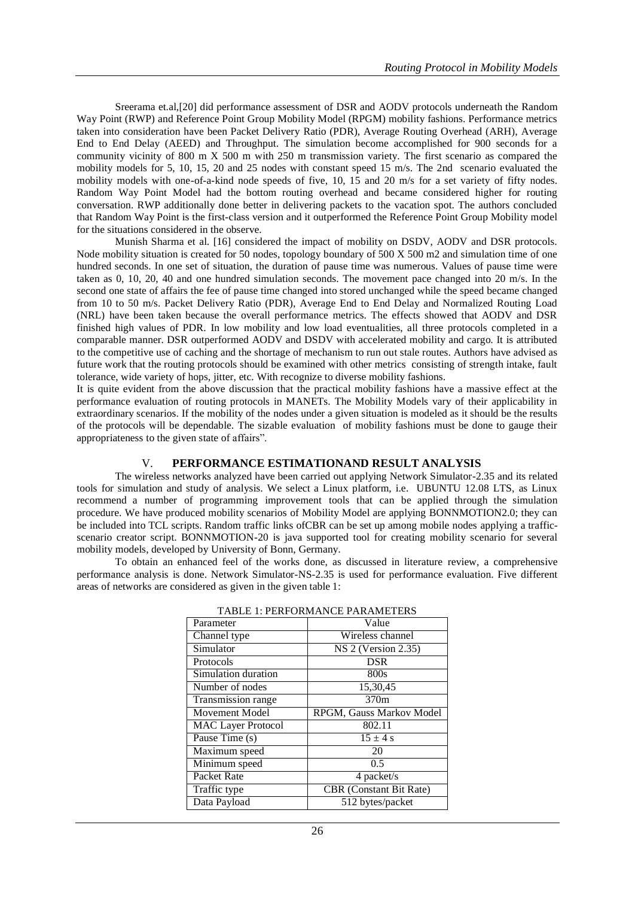Sreerama et.al,[20] did performance assessment of DSR and AODV protocols underneath the Random Way Point (RWP) and Reference Point Group Mobility Model (RPGM) mobility fashions. Performance metrics taken into consideration have been Packet Delivery Ratio (PDR), Average Routing Overhead (ARH), Average End to End Delay (AEED) and Throughput. The simulation become accomplished for 900 seconds for a community vicinity of 800 m X 500 m with 250 m transmission variety. The first scenario as compared the mobility models for 5, 10, 15, 20 and 25 nodes with constant speed 15 m/s. The 2nd scenario evaluated the mobility models with one-of-a-kind node speeds of five, 10, 15 and 20 m/s for a set variety of fifty nodes. Random Way Point Model had the bottom routing overhead and became considered higher for routing conversation. RWP additionally done better in delivering packets to the vacation spot. The authors concluded that Random Way Point is the first-class version and it outperformed the Reference Point Group Mobility model for the situations considered in the observe.

Munish Sharma et al. [16] considered the impact of mobility on DSDV, AODV and DSR protocols. Node mobility situation is created for 50 nodes, topology boundary of 500 X 500 m2 and simulation time of one hundred seconds. In one set of situation, the duration of pause time was numerous. Values of pause time were taken as 0, 10, 20, 40 and one hundred simulation seconds. The movement pace changed into 20 m/s. In the second one state of affairs the fee of pause time changed into stored unchanged while the speed became changed from 10 to 50 m/s. Packet Delivery Ratio (PDR), Average End to End Delay and Normalized Routing Load (NRL) have been taken because the overall performance metrics. The effects showed that AODV and DSR finished high values of PDR. In low mobility and low load eventualities, all three protocols completed in a comparable manner. DSR outperformed AODV and DSDV with accelerated mobility and cargo. It is attributed to the competitive use of caching and the shortage of mechanism to run out stale routes. Authors have advised as future work that the routing protocols should be examined with other metrics consisting of strength intake, fault tolerance, wide variety of hops, jitter, etc. With recognize to diverse mobility fashions.

It is quite evident from the above discussion that the practical mobility fashions have a massive effect at the performance evaluation of routing protocols in MANETs. The Mobility Models vary of their applicability in extraordinary scenarios. If the mobility of the nodes under a given situation is modeled as it should be the results of the protocols will be dependable. The sizable evaluation of mobility fashions must be done to gauge their appropriateness to the given state of affairs".

# V. **PERFORMANCE ESTIMATIONAND RESULT ANALYSIS**

The wireless networks analyzed have been carried out applying Network Simulator-2.35 and its related tools for simulation and study of analysis. We select a Linux platform, i.e. UBUNTU 12.08 LTS, as Linux recommend a number of programming improvement tools that can be applied through the simulation procedure. We have produced mobility scenarios of Mobility Model are applying BONNMOTION2.0; they can be included into TCL scripts. Random traffic links ofCBR can be set up among mobile nodes applying a trafficscenario creator script. BONNMOTION-20 is java supported tool for creating mobility scenario for several mobility models, developed by University of Bonn, Germany.

To obtain an enhanced feel of the works done, as discussed in literature review, a comprehensive performance analysis is done. Network Simulator-NS-2.35 is used for performance evaluation. Five different areas of networks are considered as given in the given table 1:

| Parameter                 | Value                          |
|---------------------------|--------------------------------|
| Channel type              | Wireless channel               |
| Simulator                 | NS 2 (Version 2.35)            |
| Protocols                 | <b>DSR</b>                     |
| Simulation duration       | 800s                           |
| Number of nodes           | 15,30,45                       |
| Transmission range        | 370m                           |
| Movement Model            | RPGM, Gauss Markov Model       |
| <b>MAC Layer Protocol</b> | 802.11                         |
| Pause Time (s)            | $15 \pm 4$ s                   |
| Maximum speed             | 20                             |
| Minimum speed             | 0.5                            |
| Packet Rate               | 4 packet/s                     |
| Traffic type              | <b>CBR</b> (Constant Bit Rate) |
| Data Payload              | 512 bytes/packet               |

#### TABLE 1: PERFORMANCE PARAMETERS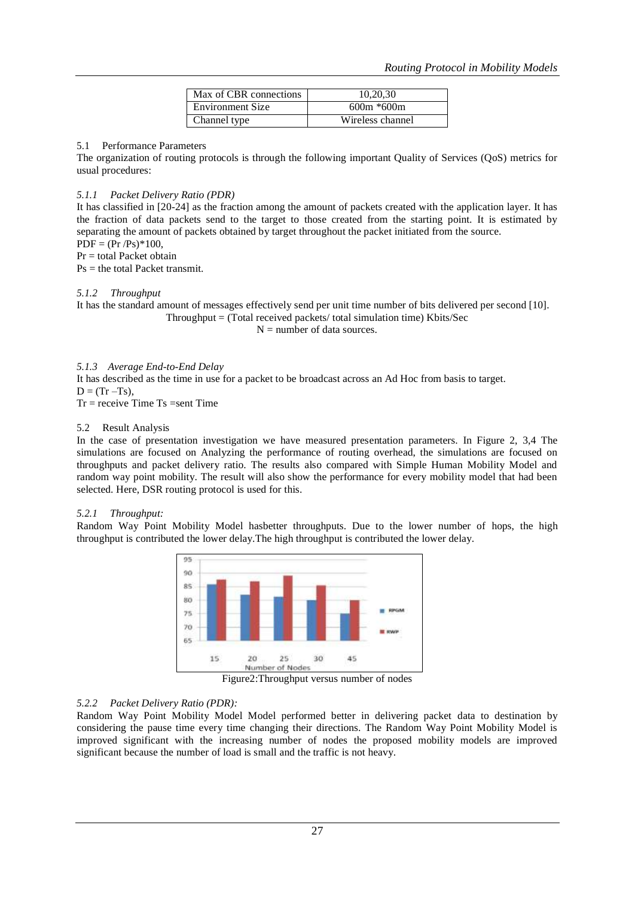| Max of CBR connections | 10.20.30         |
|------------------------|------------------|
| Environment Size       | $600m * 600m$    |
| Channel type           | Wireless channel |

#### 5.1 Performance Parameters

The organization of routing protocols is through the following important Quality of Services (QoS) metrics for usual procedures:

## *5.1.1 Packet Delivery Ratio (PDR)*

It has classified in [20-24] as the fraction among the amount of packets created with the application layer. It has the fraction of data packets send to the target to those created from the starting point. It is estimated by separating the amount of packets obtained by target throughout the packet initiated from the source.  $PDF = (Pr /Ps)*100,$ 

 $Pr =$  total Packet obtain

Ps = the total Packet transmit.

## *5.1.2 Throughput*

It has the standard amount of messages effectively send per unit time number of bits delivered per second [10].  $Throughout = (Total received packets/ total simulation time) Kbits/Sec$ 

 $N =$  number of data sources.

## *5.1.3 Average End-to-End Delay*

It has described as the time in use for a packet to be broadcast across an Ad Hoc from basis to target.  $D = (Tr - Ts)$ ,

 $Tr = receive Time Ts = sent Time$ 

## 5.2 Result Analysis

In the case of presentation investigation we have measured presentation parameters. In Figure 2, 3,4 The simulations are focused on Analyzing the performance of routing overhead, the simulations are focused on throughputs and packet delivery ratio. The results also compared with Simple Human Mobility Model and random way point mobility. The result will also show the performance for every mobility model that had been selected. Here, DSR routing protocol is used for this.

## *5.2.1 Throughput:*

Random Way Point Mobility Model hasbetter throughputs. Due to the lower number of hops, the high throughput is contributed the lower delay.The high throughput is contributed the lower delay.



Figure2:Throughput versus number of nodes

# *5.2.2 Packet Delivery Ratio (PDR):*

Random Way Point Mobility Model Model performed better in delivering packet data to destination by considering the pause time every time changing their directions. The Random Way Point Mobility Model is improved significant with the increasing number of nodes the proposed mobility models are improved significant because the number of load is small and the traffic is not heavy.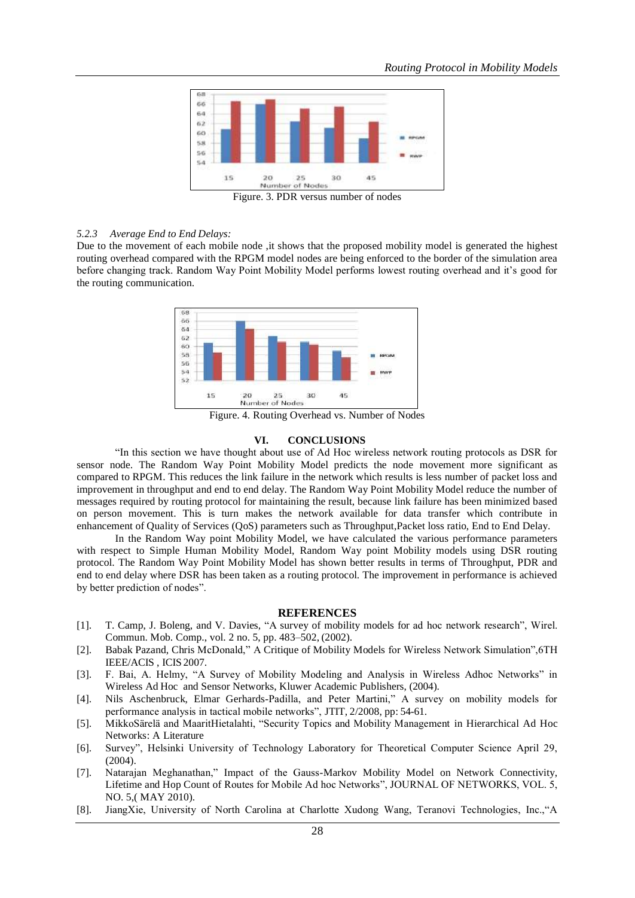

Figure. 3. PDR versus number of nodes

#### *5.2.3 Average End to End Delays:*

Due to the movement of each mobile node, it shows that the proposed mobility model is generated the highest routing overhead compared with the RPGM model nodes are being enforced to the border of the simulation area before changing track. Random Way Point Mobility Model performs lowest routing overhead and it's good for the routing communication.



Figure. 4. Routing Overhead vs. Number of Nodes

#### **VI. CONCLUSIONS**

"In this section we have thought about use of Ad Hoc wireless network routing protocols as DSR for sensor node. The Random Way Point Mobility Model predicts the node movement more significant as compared to RPGM. This reduces the link failure in the network which results is less number of packet loss and improvement in throughput and end to end delay. The Random Way Point Mobility Model reduce the number of messages required by routing protocol for maintaining the result, because link failure has been minimized based on person movement. This is turn makes the network available for data transfer which contribute in enhancement of Quality of Services (QoS) parameters such as Throughput,Packet loss ratio, End to End Delay.

In the Random Way point Mobility Model, we have calculated the various performance parameters with respect to Simple Human Mobility Model, Random Way point Mobility models using DSR routing protocol. The Random Way Point Mobility Model has shown better results in terms of Throughput, PDR and end to end delay where DSR has been taken as a routing protocol. The improvement in performance is achieved by better prediction of nodes".

#### **REFERENCES**

- [1]. T. Camp, J. Boleng, and V. Davies, "A survey of mobility models for ad hoc network research", Wirel. Commun. Mob. Comp., vol. 2 no. 5, pp. 483–502, (2002).
- [2]. Babak Pazand, Chris McDonald," A Critique of Mobility Models for Wireless Network Simulation",6TH IEEE/ACIS , ICIS 2007.
- [3]. F. Bai, A. Helmy, "A Survey of Mobility Modeling and Analysis in Wireless Adhoc Networks" in Wireless Ad Hoc and Sensor Networks, Kluwer Academic Publishers, (2004).
- [4]. Nils Aschenbruck, Elmar Gerhards-Padilla, and Peter Martini," A survey on mobility models for performance analysis in tactical mobile networks", JTIT, 2/2008, pp: 54-61.
- [5]. MikkoSärelä and MaaritHietalahti, "Security Topics and Mobility Management in Hierarchical Ad Hoc Networks: A Literature
- [6]. Survey", Helsinki University of Technology Laboratory for Theoretical Computer Science April 29, (2004).
- [7]. Natarajan Meghanathan," Impact of the Gauss-Markov Mobility Model on Network Connectivity, Lifetime and Hop Count of Routes for Mobile Ad hoc Networks", JOURNAL OF NETWORKS, VOL. 5, NO. 5,( MAY 2010).
- [8]. JiangXie, University of North Carolina at Charlotte Xudong Wang, Teranovi Technologies, Inc.,"A